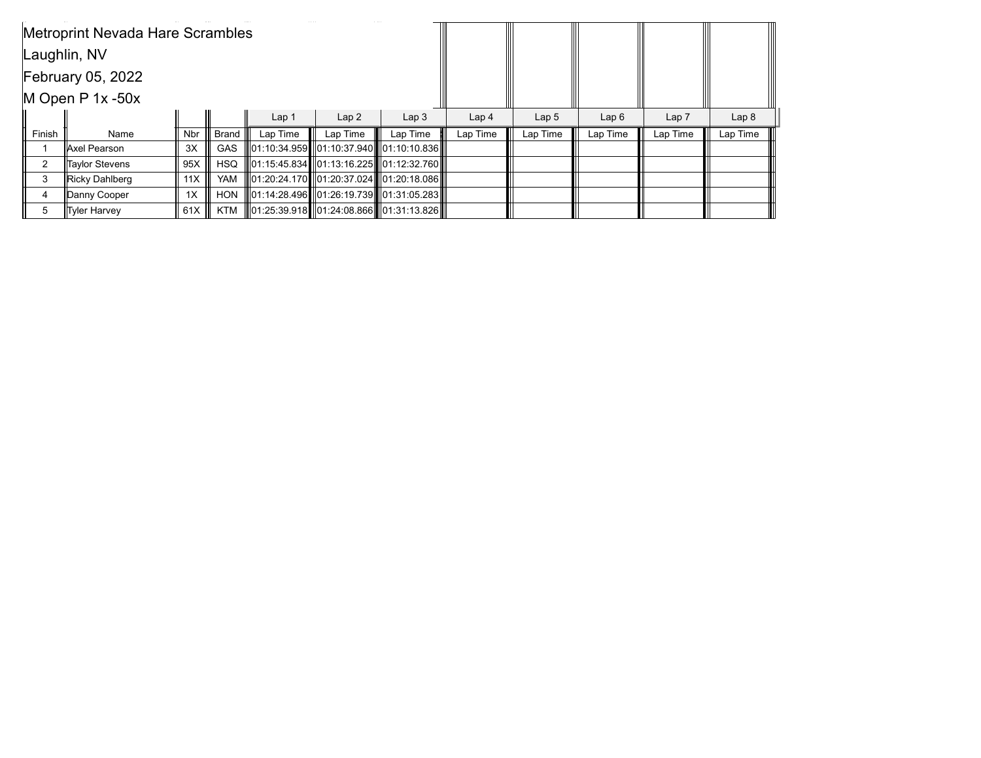|        | Metroprint Nevada Hare Scrambles |     |              |                  |                  |                                                       |                  |          |          |                  |          |
|--------|----------------------------------|-----|--------------|------------------|------------------|-------------------------------------------------------|------------------|----------|----------|------------------|----------|
|        | Laughlin, NV                     |     |              |                  |                  |                                                       |                  |          |          |                  |          |
|        | February 05, 2022                |     |              |                  |                  |                                                       |                  |          |          |                  |          |
|        | M Open $P$ 1x -50x               |     |              |                  |                  |                                                       |                  |          |          |                  |          |
|        |                                  |     |              | Lap <sub>1</sub> | Lap <sub>3</sub> | Lap <sub>4</sub>                                      | Lap <sub>5</sub> | Lap6     | Lap 7    | Lap <sub>8</sub> |          |
| Finish | Name                             | Nbr | <b>Brand</b> | Lap Time         | Lap Time         | Lap Time                                              | Lap Time         | Lap Time | Lap Time | Lap Time         | Lap Time |
|        | ∥Axel Pearson                    | 3X  | <b>GAS</b>   |                  |                  | 01:10:34.959   01:10:37.940    01:10:10.836           |                  |          |          |                  |          |
| 2      | <b>Taylor Stevens</b>            | 95X | <b>HSQ</b>   |                  |                  | II 01:15:45.834 I I 01:13:16.225 III 01:12:32.760 III |                  |          |          |                  |          |
| 3      | Ricky Dahlberg                   | 11X | <b>YAM</b>   |                  |                  | II01:20:24.170∎I01:20:37.024III01:20:18.086III        |                  |          |          |                  |          |
| 4      | Danny Cooper                     | 1X  | <b>HON</b>   |                  |                  | ∥01:14:28.496┃∥01:26:19.739┃∥01:31:05.283║│           |                  |          |          |                  |          |
| 5      | ∥Tyler Harvey                    | 61X | KTM          |                  |                  | 01:25:39.918 01:24:08.866 01:31:13.826                |                  |          |          |                  |          |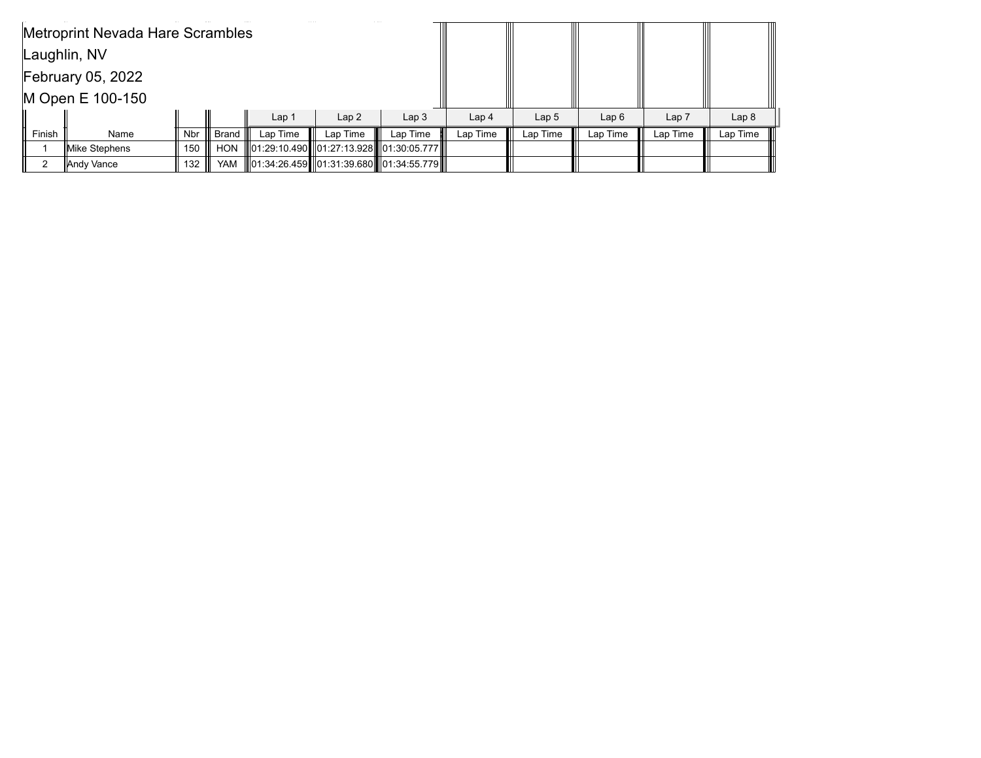|        | Metroprint Nevada Hare Scrambles |     |              |                  |          |                                                 |                  |                  |          |          |                  |
|--------|----------------------------------|-----|--------------|------------------|----------|-------------------------------------------------|------------------|------------------|----------|----------|------------------|
|        | Laughlin, NV                     |     |              |                  |          |                                                 |                  |                  |          |          |                  |
|        | <b>February 05, 2022</b>         |     |              |                  |          |                                                 |                  |                  |          |          |                  |
|        | M Open E 100-150                 |     |              |                  |          |                                                 |                  |                  |          |          |                  |
|        |                                  |     |              | Lap <sub>1</sub> | Lap2     | Lap <sub>3</sub>                                | Lap <sub>4</sub> | Lap <sub>5</sub> | Lap6     | Lap 7    | Lap <sub>8</sub> |
| Finish | Name                             | Nbr | <b>Brand</b> | Lap Time         | Lap Time | Lap Time                                        | Lap Time         | Lap Time         | Lap Time | Lap Time | Lap Time         |
|        | Mike Stephens                    | 150 | <b>HON</b>   |                  |          | 01:29:10.490    01:27:13.928       01:30:05.777 |                  |                  |          |          |                  |
|        | Andy Vance                       | 132 | YAM          |                  |          | 01:34:26.459 01:31:39.680 01:34:55.779          |                  |                  |          |          |                  |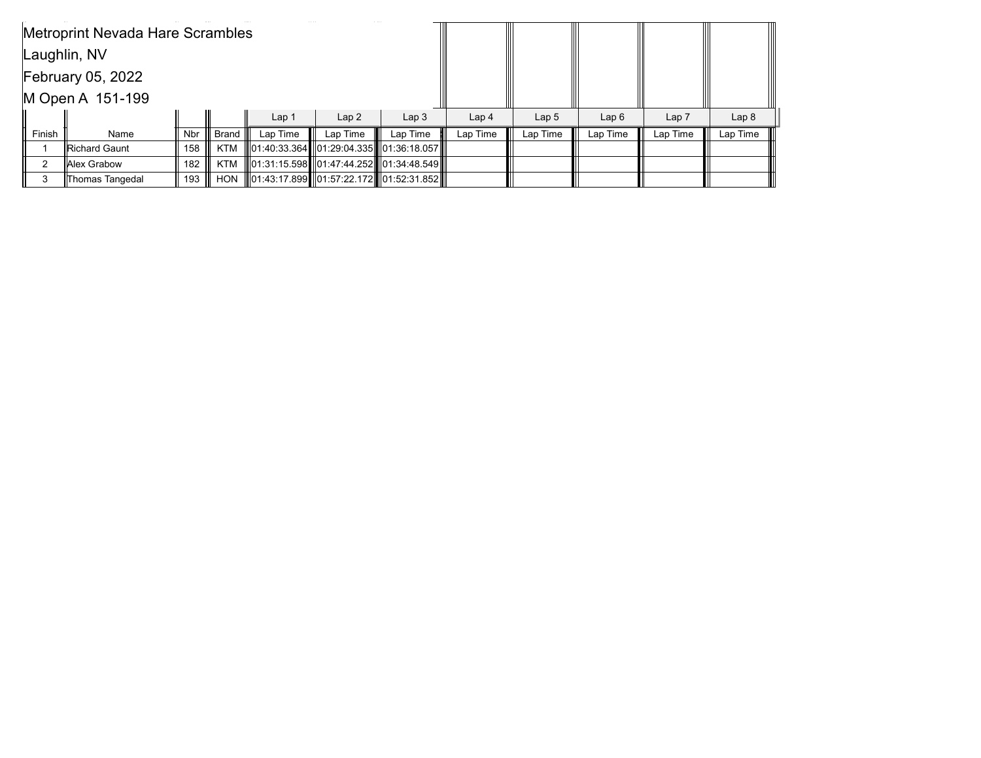|        | <b>Metroprint Nevada Hare Scrambles</b> |     |              |                  |                  |                                                  |                  |          |          |                  |          |
|--------|-----------------------------------------|-----|--------------|------------------|------------------|--------------------------------------------------|------------------|----------|----------|------------------|----------|
|        | Laughlin, NV                            |     |              |                  |                  |                                                  |                  |          |          |                  |          |
|        | <b>February 05, 2022</b>                |     |              |                  |                  |                                                  |                  |          |          |                  |          |
|        | M Open A 151-199                        |     |              |                  |                  |                                                  |                  |          |          |                  |          |
|        |                                         |     |              | Lap <sub>1</sub> | Lap <sub>3</sub> | Lap <sub>4</sub>                                 | Lap <sub>5</sub> | Lap6     | Lap 7    | Lap <sub>8</sub> |          |
| Finish | Name                                    | Nbr | <b>Brand</b> | Lap Time         | Lap Time         | Lap Time                                         | Lap Time         | Lap Time | Lap Time | Lap Time         | Lap Time |
|        | Richard Gaunt                           | 158 | <b>KTM</b>   |                  |                  | 01:40:33.364      01:29:04.335      01:36:18.057 |                  |          |          |                  |          |
| 2      | <b>IAlex Grabow</b>                     | 182 | KTM          |                  |                  | ∥01:31:15.598┃∥01:47:44.252┃∥01:34:48.549┃∥      |                  |          |          |                  |          |
|        | Thomas Tangedal                         | 193 | HON          |                  |                  | 01:43:17.899 01:57:22.172 01:52:31.852           |                  |          |          |                  |          |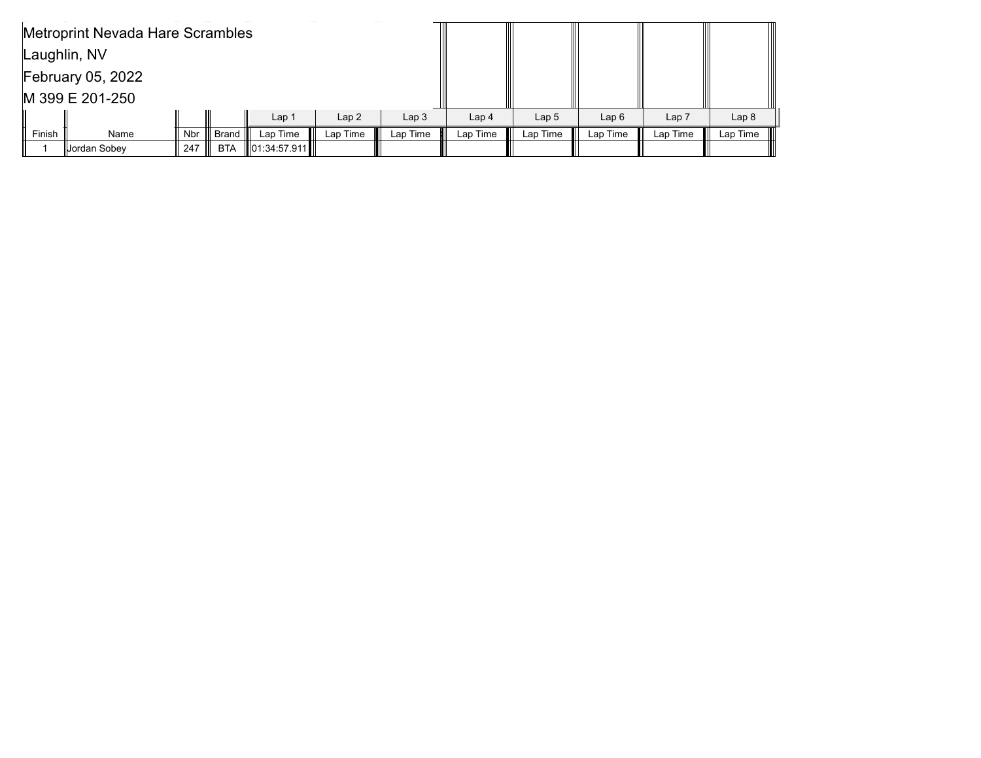|        | Metroprint Nevada Hare Scrambles |            |              |                    |                  |                  |                  |          |          |                  |          |
|--------|----------------------------------|------------|--------------|--------------------|------------------|------------------|------------------|----------|----------|------------------|----------|
|        | Laughlin, NV                     |            |              |                    |                  |                  |                  |          |          |                  |          |
|        | <b>February 05, 2022</b>         |            |              |                    |                  |                  |                  |          |          |                  |          |
|        | M 399 E 201-250                  |            |              |                    |                  |                  |                  |          |          |                  |          |
|        |                                  |            |              | Lap <sub>1</sub>   | Lap <sub>3</sub> | Lap <sub>4</sub> | Lap <sub>5</sub> | Lap6     | Lap 7    | Lap <sub>8</sub> |          |
| Finish | Name                             | <b>Nbr</b> | <b>Brand</b> | Lap Time           | Lap Time         | Lap Time         | Lap Time         | Lap Time | Lap Time | Lap Time         | Lap Time |
|        | ∥Jordan Sobey                    | 247        | <b>BTA</b>   | $\ 01:34:57.911\ $ |                  |                  |                  |          |          |                  |          |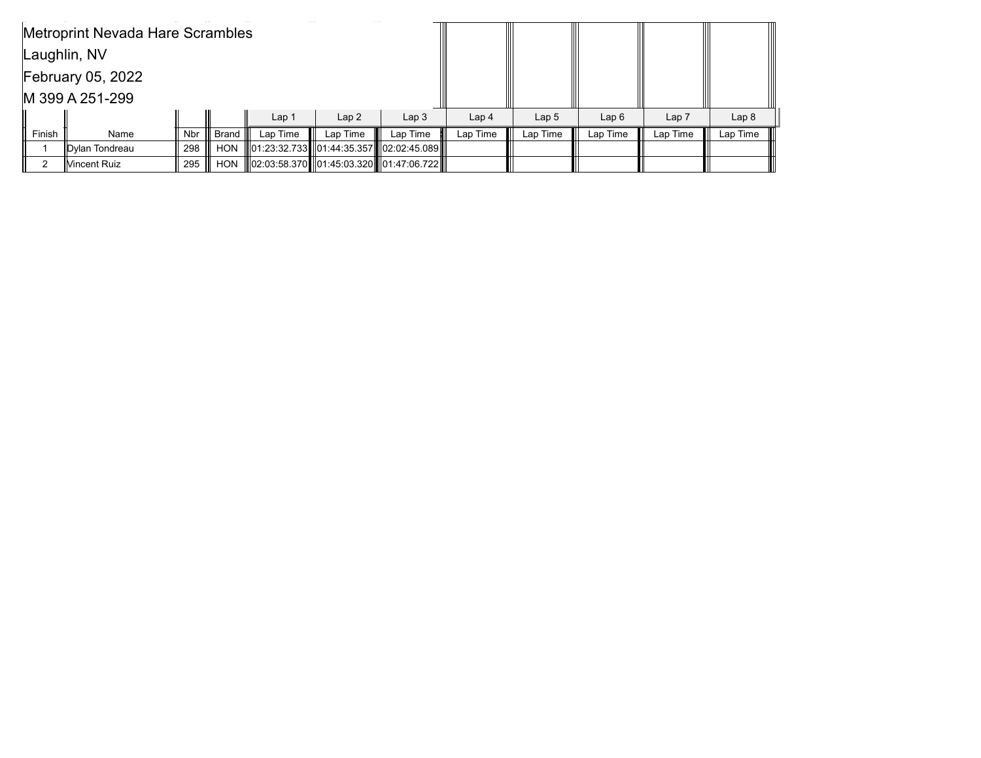|        | Metroprint Nevada Hare Scrambles |     |              |                  |          |                                            |                  |                  |          |          |                  |
|--------|----------------------------------|-----|--------------|------------------|----------|--------------------------------------------|------------------|------------------|----------|----------|------------------|
|        | Laughlin, NV                     |     |              |                  |          |                                            |                  |                  |          |          |                  |
|        | <b>February 05, 2022</b>         |     |              |                  |          |                                            |                  |                  |          |          |                  |
|        | M 399 A 251-299                  |     |              |                  |          |                                            |                  |                  |          |          |                  |
|        |                                  |     |              | Lap <sub>1</sub> | Lap2     | Lap <sub>3</sub>                           | Lap <sub>4</sub> | Lap <sub>5</sub> | Lap6     | Lap 7    | Lap <sub>8</sub> |
| Finish | Name                             | Nbr | <b>Brand</b> | Lap Time         | Lap Time | Lap Time                                   | Lap Time         | Lap Time         | Lap Time | Lap Time | Lap Time         |
|        | <b>IDvlan Tondreau</b>           | 298 | <b>HON</b>   |                  |          | 01:23:32.733  01:44:35.357  02:02:45.089   |                  |                  |          |          |                  |
| っ      | lVincent Ruiz                    | 295 | <b>HON</b>   |                  |          | 02:03:58.370   01:45:03.320   01:47:06.722 |                  |                  |          |          |                  |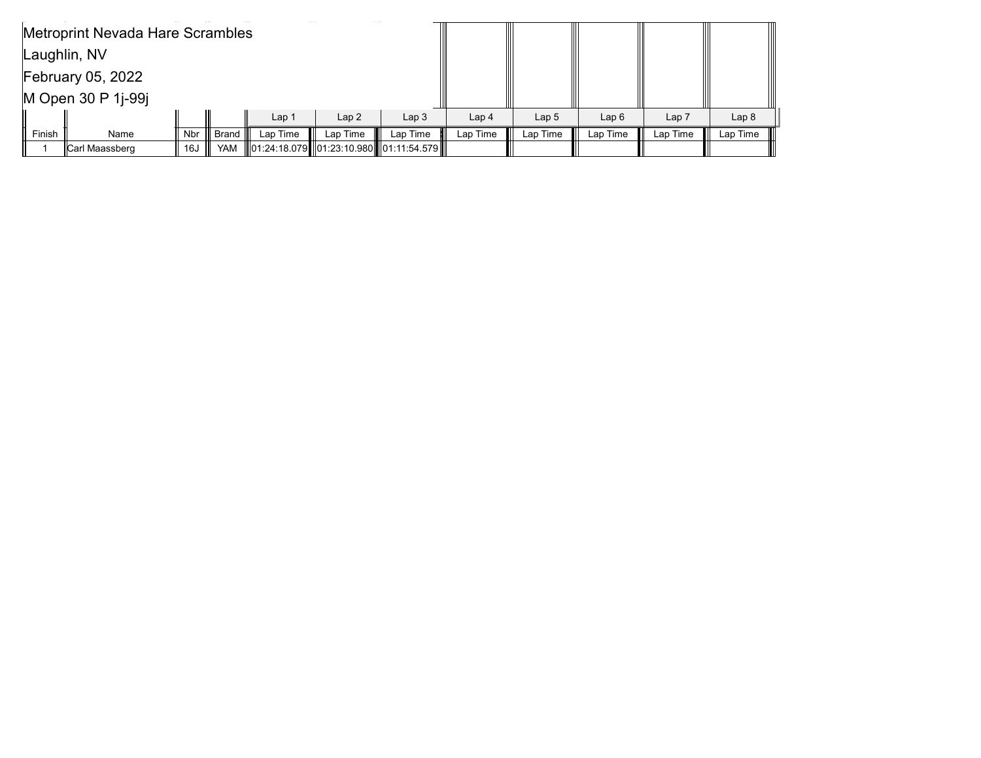|        | Metroprint Nevada Hare Scrambles |            |              |          |                  |                                              |                  |          |          |                  |          |
|--------|----------------------------------|------------|--------------|----------|------------------|----------------------------------------------|------------------|----------|----------|------------------|----------|
|        | Laughlin, NV                     |            |              |          |                  |                                              |                  |          |          |                  |          |
|        | <b>February 05, 2022</b>         |            |              |          |                  |                                              |                  |          |          |                  |          |
|        | M Open 30 P 1j-99j               |            |              |          |                  |                                              |                  |          |          |                  |          |
|        |                                  |            |              | Lap 1    | Lap <sub>3</sub> | Lap <sub>4</sub>                             | Lap <sub>5</sub> | Lap6     | Lap 7    | Lap <sub>8</sub> |          |
| Finish | Name                             | <b>Nbr</b> | <b>Brand</b> | Lap Time | Lap Time         | Lap Time                                     | Lap Time         | Lap Time | Lap Time | Lap Time         | Lap Time |
|        | Carl Maassberg                   | 16J        | <b>YAM</b>   |          |                  | ∥01:24:18.079   01:23:10.980    01:11:54.579 |                  |          |          |                  |          |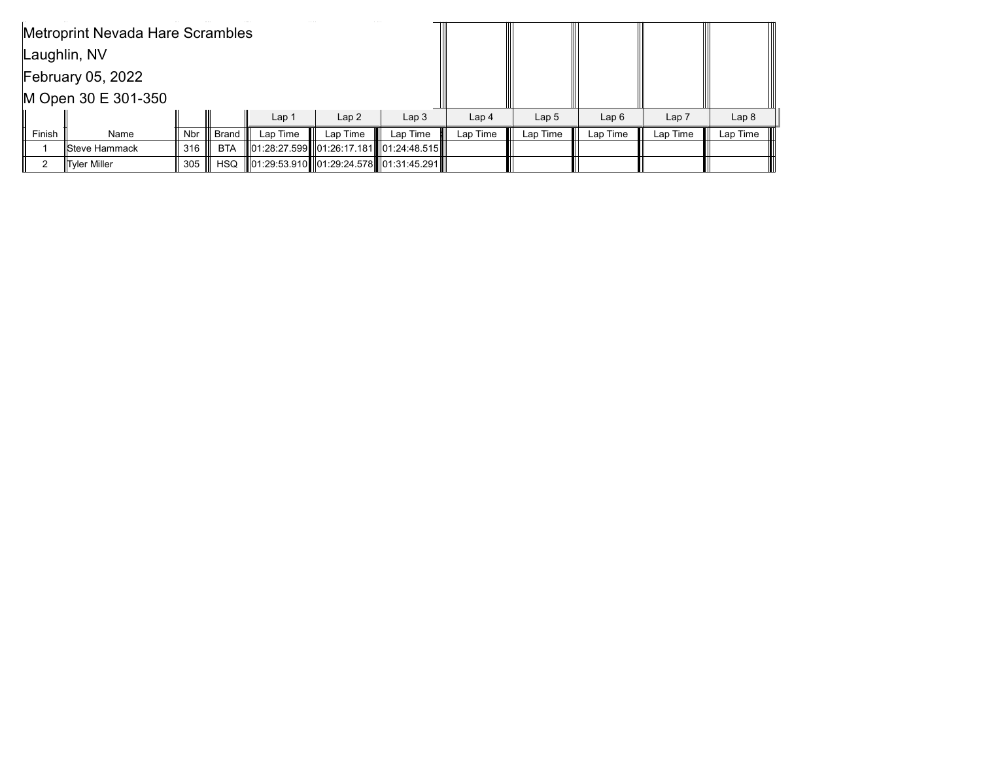|        | Metroprint Nevada Hare Scrambles |            |              |                  |          |                                              |                  |                  |          |          |                  |
|--------|----------------------------------|------------|--------------|------------------|----------|----------------------------------------------|------------------|------------------|----------|----------|------------------|
|        | Laughlin, NV                     |            |              |                  |          |                                              |                  |                  |          |          |                  |
|        | <b>February 05, 2022</b>         |            |              |                  |          |                                              |                  |                  |          |          |                  |
|        | M Open 30 E 301-350              |            |              |                  |          |                                              |                  |                  |          |          |                  |
|        |                                  |            |              | Lap <sub>1</sub> | Lap2     | Lap <sub>3</sub>                             | Lap <sub>4</sub> | Lap <sub>5</sub> | Lap6     | Lap 7    | Lap <sub>8</sub> |
| Finish | Name                             | <b>Nbr</b> | <b>Brand</b> | Lap Time         | Lap Time | Lap Time                                     | Lap Time         | Lap Time         | Lap Time | Lap Time | Lap Time         |
|        | llSteve Hammack                  | 316        | <b>BTA</b>   |                  |          | 01:28:27.599    01:26:17.181    01:24:48.515 |                  |                  |          |          |                  |
| っ      | <b>Tyler Miller</b>              | 305        | <b>HSQ</b>   |                  |          | 01:29:53.910  01:29:24.578  01:31:45.291     |                  |                  |          |          |                  |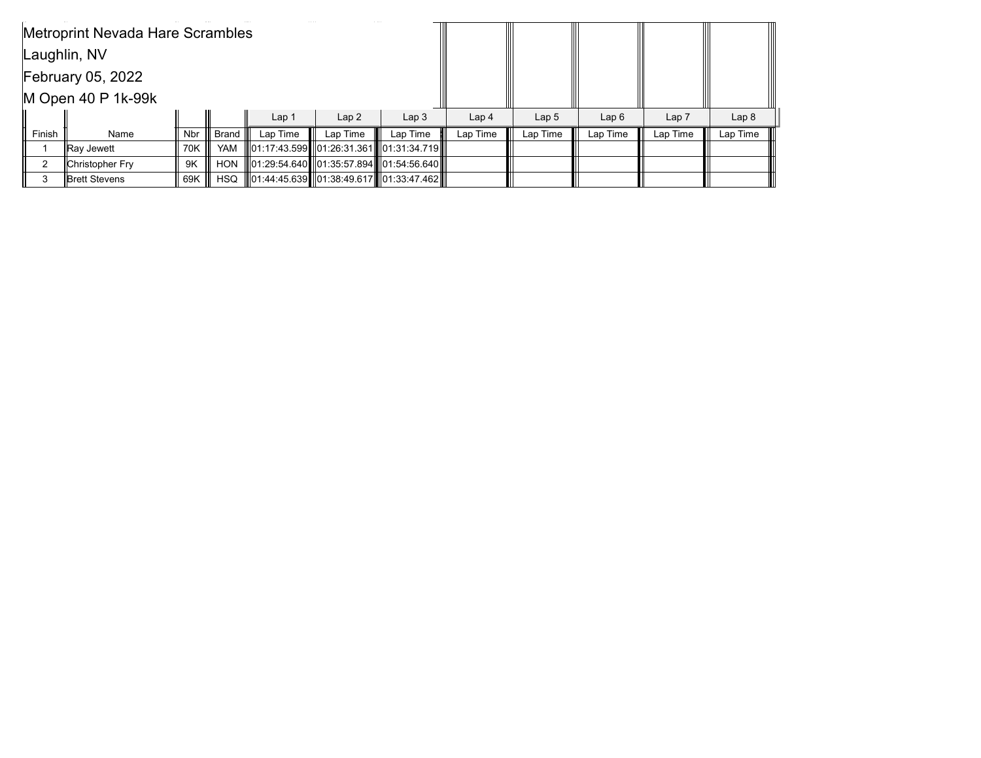|                          | <b>Metroprint Nevada Hare Scrambles</b> |     |              |                  |                  |                                              |                  |          |          |                  |          |  |  |
|--------------------------|-----------------------------------------|-----|--------------|------------------|------------------|----------------------------------------------|------------------|----------|----------|------------------|----------|--|--|
|                          | Laughlin, NV                            |     |              |                  |                  |                                              |                  |          |          |                  |          |  |  |
| <b>February 05, 2022</b> |                                         |     |              |                  |                  |                                              |                  |          |          |                  |          |  |  |
|                          | M Open 40 P 1k-99k                      |     |              |                  |                  |                                              |                  |          |          |                  |          |  |  |
|                          |                                         |     |              | Lap <sub>1</sub> | Lap <sub>3</sub> | Lap <sub>4</sub>                             | Lap <sub>5</sub> | Lap6     | Lap 7    | Lap <sub>8</sub> |          |  |  |
| Finish                   | Name                                    | Nbr | <b>Brand</b> | Lap Time         | Lap Time         | Lap Time                                     | Lap Time         | Lap Time | Lap Time | Lap Time         | Lap Time |  |  |
|                          | ∥Ray Jewett                             | 70K | <b>YAM</b>   |                  |                  | ∥01:17:43.599┃∥01:26:31.361┃∥01:31:34.719┃∥  |                  |          |          |                  |          |  |  |
| C                        | Christopher Fry                         | 9K  | <b>HON</b>   |                  |                  | 01:29:54.640 01:35:57.894 01:54:56.640       |                  |          |          |                  |          |  |  |
|                          | llBrett Stevens                         | 69K | <b>HSQ</b>   |                  |                  | ∥01:44:45.639   01:38:49.617    01:33:47.462 |                  |          |          |                  |          |  |  |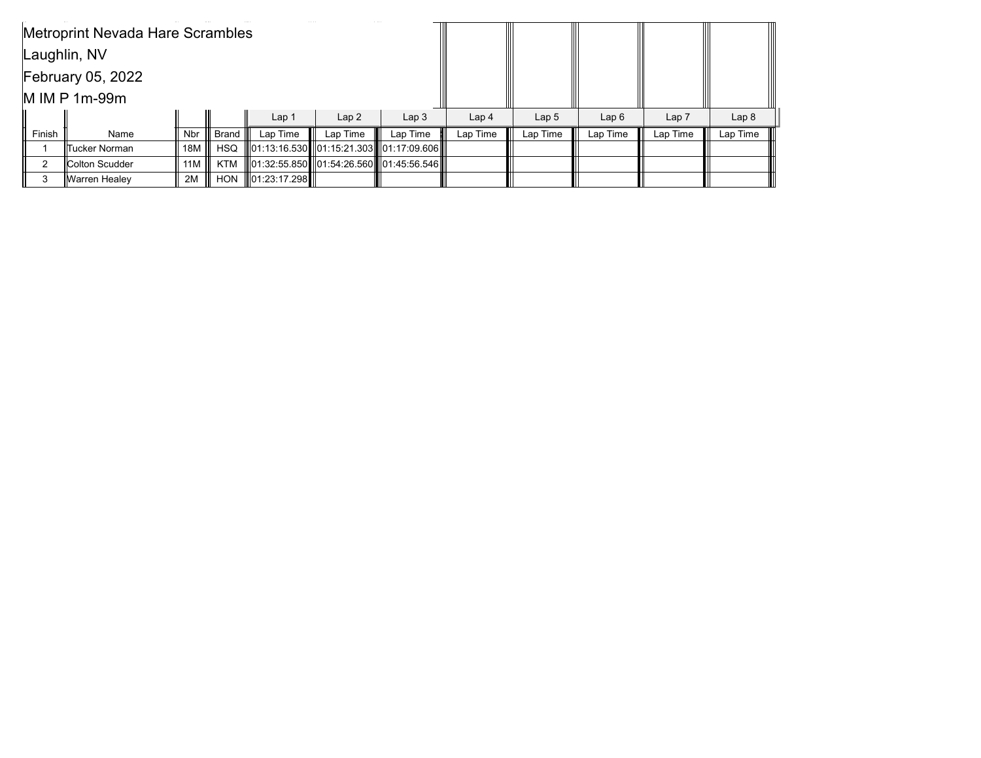|        | <b>Metroprint Nevada Hare Scrambles</b> |                  |              |                    |                  |                                                       |                  |          |          |                  |          |
|--------|-----------------------------------------|------------------|--------------|--------------------|------------------|-------------------------------------------------------|------------------|----------|----------|------------------|----------|
|        | Laughlin, NV                            |                  |              |                    |                  |                                                       |                  |          |          |                  |          |
|        | <b>February 05, 2022</b>                |                  |              |                    |                  |                                                       |                  |          |          |                  |          |
|        | M IM P 1m-99m                           |                  |              |                    |                  |                                                       |                  |          |          |                  |          |
|        |                                         |                  |              | Lap <sub>1</sub>   | Lap <sub>3</sub> | Lap <sub>4</sub>                                      | Lap <sub>5</sub> | Lap6     | Lap 7    | Lap <sub>8</sub> |          |
| Finish | Name                                    | Nbr              | <b>Brand</b> | Lap Time           | Lap Time         | Lap Time                                              | Lap Time         | Lap Time | Lap Time | Lap Time         | Lap Time |
|        | llTucker Norman∶                        | 18M $\parallel$  | <b>HSQ</b>   |                    |                  | 01:13:16.530   01:15:21.303   01:17:09.606            |                  |          |          |                  |          |
| 2      | <b>Colton Scudder</b>                   | 11 $M \parallel$ | KTM          |                    |                  | III01:32:55.850 III01:54:26.560 IIII01:45:56.546 IIII |                  |          |          |                  |          |
| 3      | ∥Warren Healey                          | 2M               | <b>HON</b>   | $\ 01:23:17.298\ $ |                  |                                                       |                  |          |          |                  |          |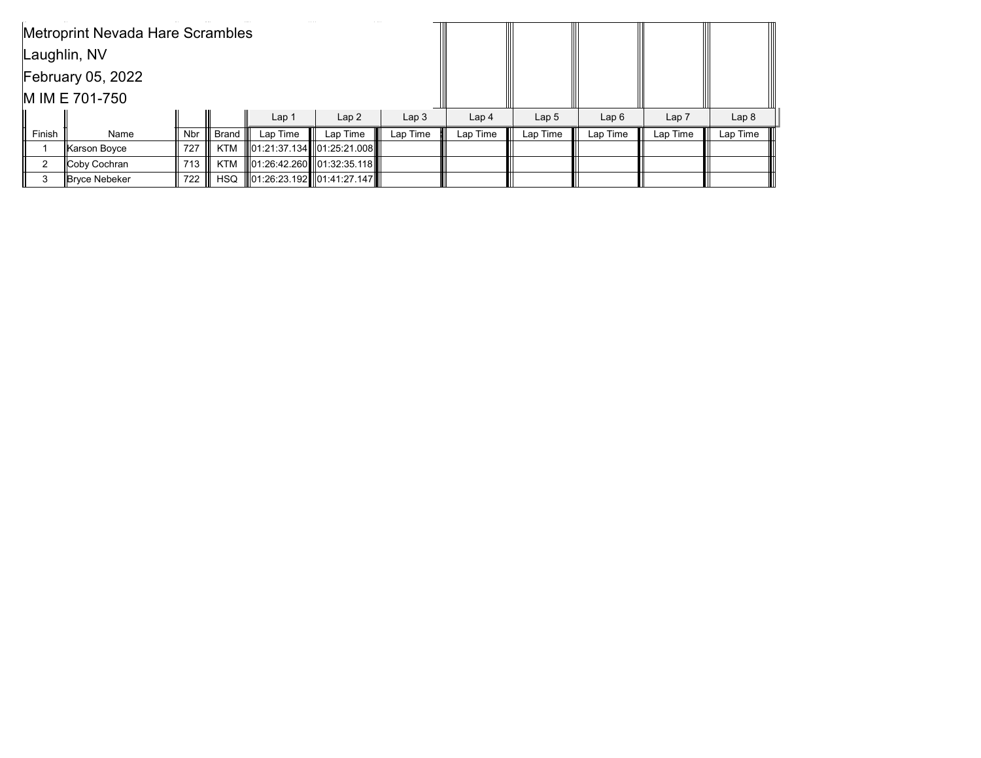|        | <b>Metroprint Nevada Hare Scrambles</b> |     |              |                  |                                 |                  |                  |          |          |                  |          |
|--------|-----------------------------------------|-----|--------------|------------------|---------------------------------|------------------|------------------|----------|----------|------------------|----------|
|        | Laughlin, NV                            |     |              |                  |                                 |                  |                  |          |          |                  |          |
|        | <b>February 05, 2022</b>                |     |              |                  |                                 |                  |                  |          |          |                  |          |
|        | M IM E 701-750                          |     |              |                  |                                 |                  |                  |          |          |                  |          |
|        |                                         |     |              | Lap <sub>1</sub> | Lap <sub>3</sub>                | Lap <sub>4</sub> | Lap <sub>5</sub> | Lap6     | Lap 7    | Lap <sub>8</sub> |          |
| Finish | Name                                    | Nbr | <b>Brand</b> | Lap Time         | Lap Time                        | Lap Time         | Lap Time         | Lap Time | Lap Time | Lap Time         | Lap Time |
|        | ∥Karson Boyce                           | 727 | KTM          |                  | 01:21:37.134       01:25:21.008 |                  |                  |          |          |                  |          |
| 2      | Coby Cochran                            | 713 | KTM          |                  | 101:26:42.260 01:32:35.118      |                  |                  |          |          |                  |          |
| 3      | <b>Bryce Nebeker</b>                    | 722 | <b>HSQ</b>   |                  | 01:26:23.192 01:41:27.147       |                  |                  |          |          |                  |          |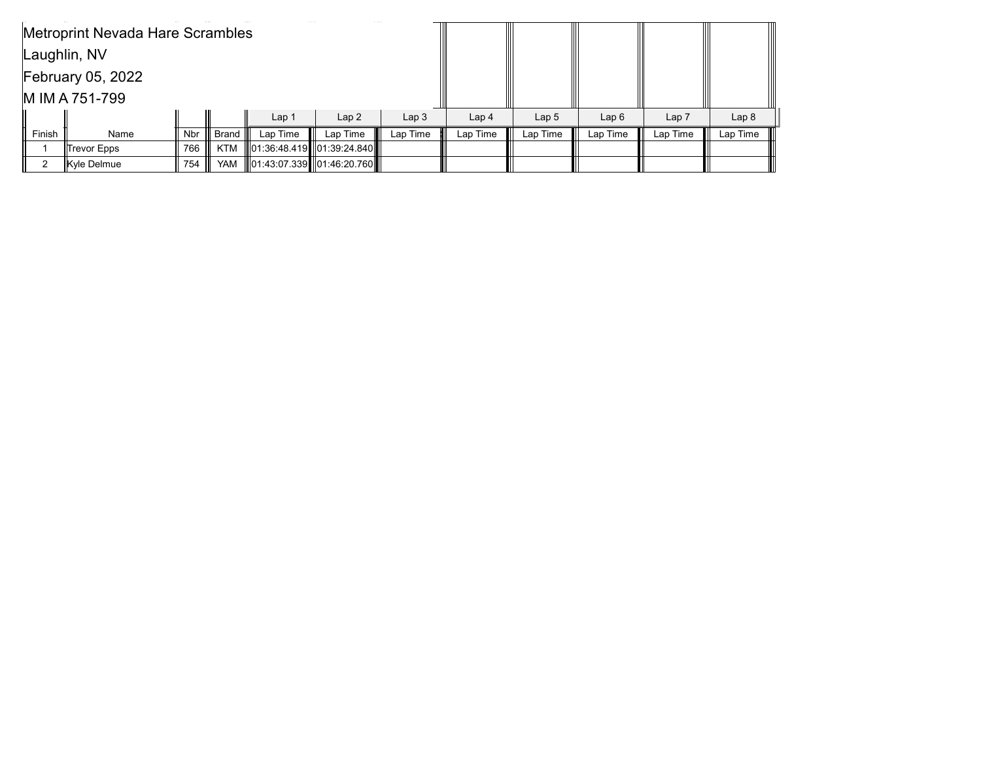|                          | Metroprint Nevada Hare Scrambles |     |              |                  |                               |                  |                  |                  |          |          |                  |
|--------------------------|----------------------------------|-----|--------------|------------------|-------------------------------|------------------|------------------|------------------|----------|----------|------------------|
|                          | Laughlin, NV                     |     |              |                  |                               |                  |                  |                  |          |          |                  |
| <b>February 05, 2022</b> |                                  |     |              |                  |                               |                  |                  |                  |          |          |                  |
|                          | M IM A 751-799                   |     |              |                  |                               |                  |                  |                  |          |          |                  |
|                          |                                  |     |              | Lap <sub>1</sub> | Lap2                          | Lap <sub>3</sub> | Lap <sub>4</sub> | Lap <sub>5</sub> | Lap6     | Lap 7    | Lap <sub>8</sub> |
| Finish                   | Name                             | Nbr | <b>Brand</b> | Lap Time         | Lap Time                      | Lap Time         | Lap Time         | Lap Time         | Lap Time | Lap Time | Lap Time         |
|                          | ∥Trevor Epps                     | 766 | KTM          |                  | ∥01:36:48.419┃∥01:39:24.840┃┃ |                  |                  |                  |          |          |                  |
|                          | Kyle Delmue                      | 754 | <b>YAM</b>   |                  | 01:43:07.339    01:46:20.760  |                  |                  |                  |          |          |                  |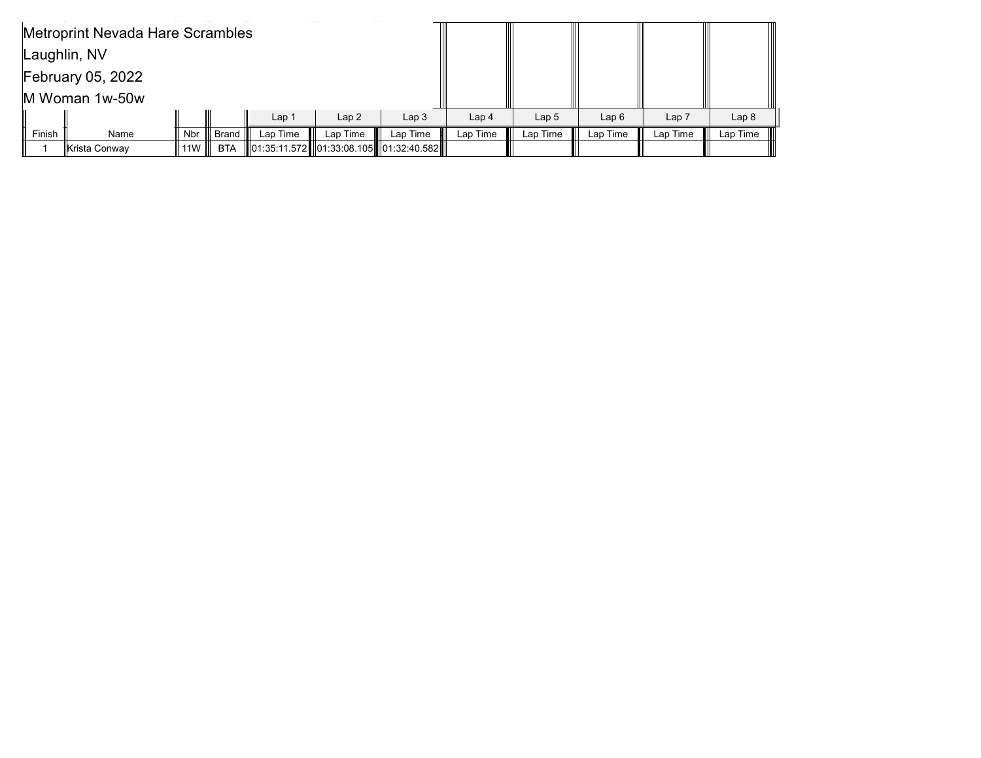|        | Metroprint Nevada Hare Scrambles |            |              |          |                  |                                            |                  |          |          |                  |          |
|--------|----------------------------------|------------|--------------|----------|------------------|--------------------------------------------|------------------|----------|----------|------------------|----------|
|        | Laughlin, NV                     |            |              |          |                  |                                            |                  |          |          |                  |          |
|        | <b>February 05, 2022</b>         |            |              |          |                  |                                            |                  |          |          |                  |          |
|        | M Woman 1w-50w                   |            |              |          |                  |                                            |                  |          |          |                  |          |
|        |                                  |            |              | Lap 1    | Lap <sub>3</sub> | Lap <sub>4</sub>                           | Lap <sub>5</sub> | Lap6     | Lap 7    | Lap <sub>8</sub> |          |
| Finish | Name                             | <b>Nbr</b> | <b>Brand</b> | Lap Time | Lap Time         | Lap Time                                   | Lap Time         | Lap Time | Lap Time | Lap Time         | Lap Time |
|        | ∥Krista Conway                   | 11 $W$     | <b>BTA</b>   |          |                  | 01:35:11.572   01:33:08.105   01:32:40.582 |                  |          |          |                  |          |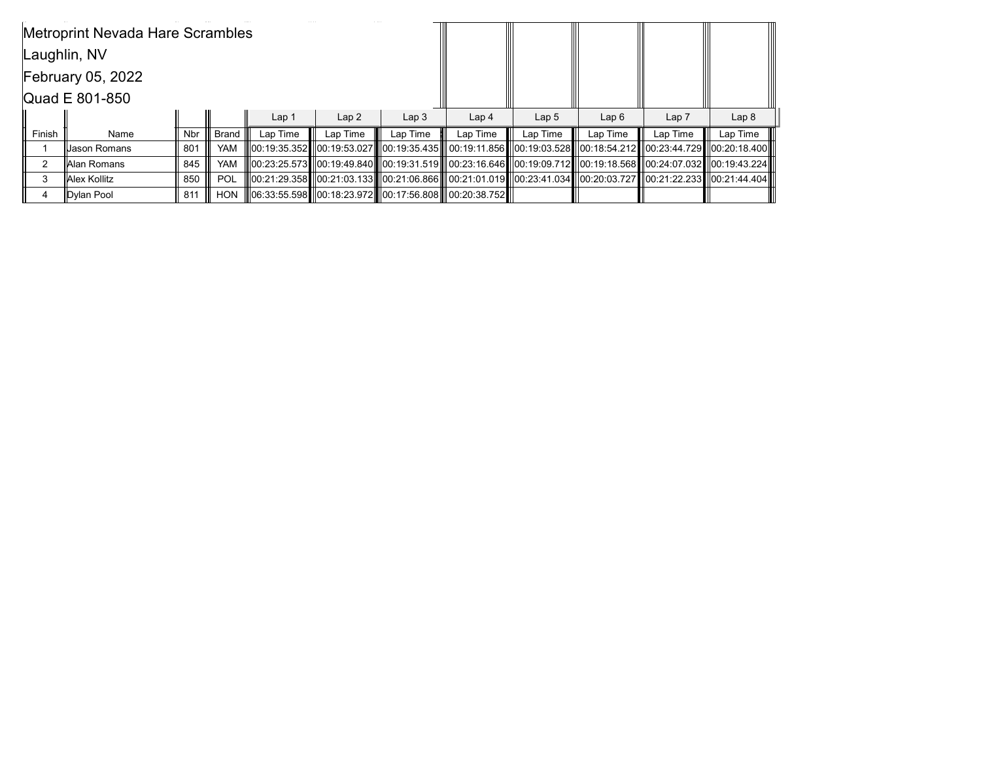|                | Metroprint Nevada Hare Scrambles |            |              |                  |                                                        |                  |                  |                                                                                                                                                                                                                            |          |          |                  |
|----------------|----------------------------------|------------|--------------|------------------|--------------------------------------------------------|------------------|------------------|----------------------------------------------------------------------------------------------------------------------------------------------------------------------------------------------------------------------------|----------|----------|------------------|
|                | Laughlin, NV                     |            |              |                  |                                                        |                  |                  |                                                                                                                                                                                                                            |          |          |                  |
|                | <b>February 05, 2022</b>         |            |              |                  |                                                        |                  |                  |                                                                                                                                                                                                                            |          |          |                  |
| Quad E 801-850 |                                  |            |              |                  |                                                        |                  |                  |                                                                                                                                                                                                                            |          |          |                  |
|                |                                  |            |              | Lap <sub>1</sub> | Lap <sub>2</sub>                                       | Lap <sub>3</sub> | Lap <sub>4</sub> | Lap <sub>5</sub>                                                                                                                                                                                                           | Lap6     | Lap 7    | Lap <sub>8</sub> |
| Finish         | Name                             | <b>Nbr</b> | <b>Brand</b> | Lap Time         | Lap Time                                               | Lap Time         | Lap Time         | Lap Time                                                                                                                                                                                                                   | Lap Time | Lap Time | Lap Time         |
|                | iUason Romans                    | 801        | YAM          |                  |                                                        |                  |                  | 00:19:35.3521100:19:53.02711100:19:35.43511100:19:11.85611100:19:03.5281100:18:54.21211100:23:44.7291100:20:18                                                                                                             |          |          |                  |
| 2              | ∥Alan Romans                     | 845        | YAM          |                  |                                                        |                  |                  | 00:23:25.573   00:19:49.840    00:19:31.519     00:23:16.646   00:19:09.712   00:19:18.568   00:24:07.032   00:19:43.224                                                                                                   |          |          |                  |
| 3              | <b>Alex Kollitz</b>              | 850        | <b>POL</b>   |                  |                                                        |                  |                  | 00:21:29.358   00:21:03.133   00:21:06.866    00:21:01.019    00:23:41.034    00:20:03.727    00:21:22.233    00:21:44.404    00:21:44.404    00:21:44.404    00:21:58    00:21:44.404    00:21:58    00:21:58    00:21:58 |          |          |                  |
| 4              | Dylan Pool                       | 811        | <b>HON</b>   |                  | 06:33:55.598  00:18:23.972  00:17:56.808  00:20:38.752 |                  |                  |                                                                                                                                                                                                                            |          |          |                  |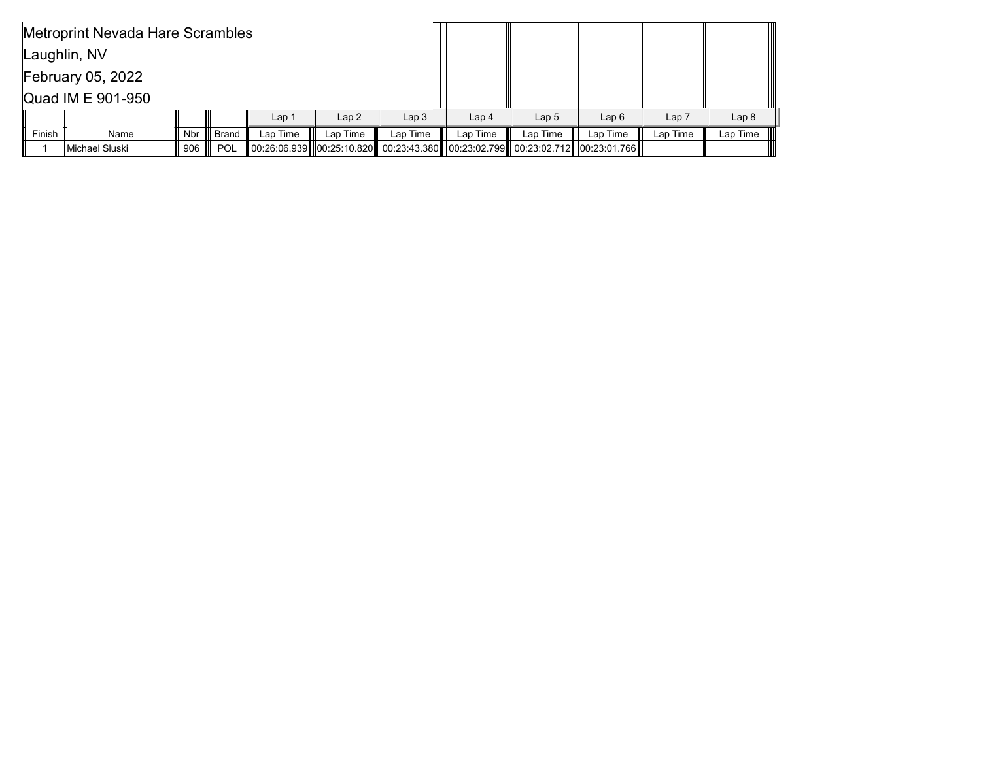|                   | Metroprint Nevada Hare Scrambles |     |              |          |          |                  |                  |                  |                                                                                           |          |                  |
|-------------------|----------------------------------|-----|--------------|----------|----------|------------------|------------------|------------------|-------------------------------------------------------------------------------------------|----------|------------------|
|                   | Laughlin, NV                     |     |              |          |          |                  |                  |                  |                                                                                           |          |                  |
|                   | <b>February 05, 2022</b>         |     |              |          |          |                  |                  |                  |                                                                                           |          |                  |
| Quad IM E 901-950 |                                  |     |              |          |          |                  |                  |                  |                                                                                           |          |                  |
|                   |                                  |     |              | Lap 1    | Lap2     | Lap <sub>3</sub> | Lap <sub>4</sub> | Lap <sub>5</sub> | Lap6                                                                                      | Lap 7    | Lap <sub>8</sub> |
| Finish            | Name                             | Nbr | <b>Brand</b> | Lap Time | Lap Time | Lap Time         | Lap Time         | Lap Time         | Lap Time                                                                                  | Lap Time | Lap Time         |
|                   | IMichael Sluski                  | 906 | <b>POL</b>   |          |          |                  |                  |                  | 1.00:26:06.939   00:25:10.820   00:23:43.380   00:23:02.799   00:23:02.712   00:23:01.766 |          |                  |